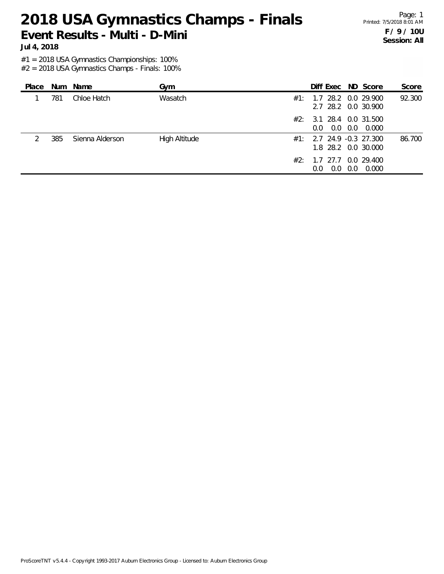Page: 1 Printed: 7/5/2018 8:01 AM **F / 9 / 10U Session: All**

**Jul 4, 2018**

#1 = 2018 USA Gymnastics Championships: 100%

| Place |     | Num Name        | Gym                  |     | Diff Exec ND Score                                 |     |       | Score  |
|-------|-----|-----------------|----------------------|-----|----------------------------------------------------|-----|-------|--------|
|       | 781 | Chloe Hatch     | Wasatch              | #1: | 1.7 28.2 0.0 29.900<br>2.7 28.2 0.0 30.900         |     |       | 92.300 |
|       |     |                 |                      | #2: | 3.1 28.4 0.0 31.500<br>0.0<br>$0.0^{\circ}$        | 0.0 | 0.000 |        |
|       | 385 | Sienna Alderson | <b>High Altitude</b> |     | $\#1:$ 2.7 24.9 -0.3 27.300<br>1.8 28.2 0.0 30.000 |     |       | 86.700 |
|       |     |                 |                      | #2: | 1.7 27.7 0.0 29.400<br>0.0<br>0.0                  | 0.0 | 0.000 |        |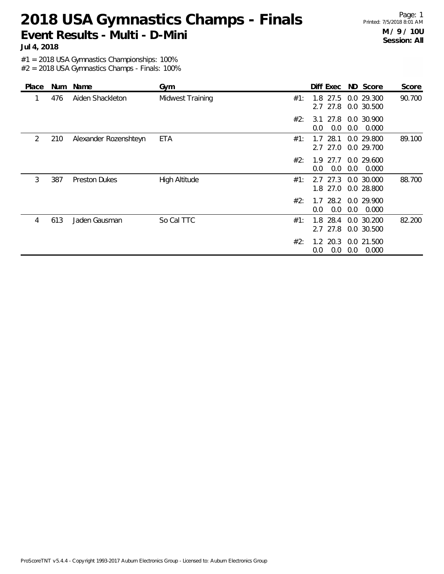Page: 1 Printed: 7/5/2018 8:01 AM **M / 9 / 10U Session: All**

**Jul 4, 2018**

#1 = 2018 USA Gymnastics Championships: 100%

| Place | Num | Name                  | Gym                     |     | Diff Exec                  | ND Score                            | Score  |
|-------|-----|-----------------------|-------------------------|-----|----------------------------|-------------------------------------|--------|
|       | 476 | Aiden Shackleton      | <b>Midwest Training</b> | #1: | 1.8 27.5<br>27.8<br>2.7    | 0.0 29.300<br>0.0 30.500            | 90.700 |
|       |     |                       |                         | #2: | 3.1<br>0.0<br>0.0          | 27.8 0.0 30.900<br>0.0<br>0.000     |        |
| 2     | 210 | Alexander Rozenshteyn | ETA                     | #1: | 28.1<br>1.7<br>27.0<br>2.7 | 0.0 29.800<br>0.0 29.700            | 89.100 |
|       |     |                       |                         | #2: | 27.7<br>1.9<br>0.0<br>0.0  | 0.0 29.600<br>0.0<br>0.000          |        |
| 3     | 387 | <b>Preston Dukes</b>  | <b>High Altitude</b>    | #1: | 27.3<br>2.7<br>27.0<br>1.8 | 0.0 30.000<br>0.0 28.800            | 88.700 |
|       |     |                       |                         | #2: | 0.0<br>0.0                 | 1.7 28.2 0.0 29.900<br>0.0<br>0.000 |        |
| 4     | 613 | Jaden Gausman         | So Cal TTC              | #1: | 28.4<br>1.8<br>2.7 27.8    | 0.0 30.200<br>0.0 30.500            | 82.200 |
|       |     |                       |                         | #2: | $1.2$ 20.3<br>0.0<br>0.0   | 0.0 21.500<br>0.0<br>0.000          |        |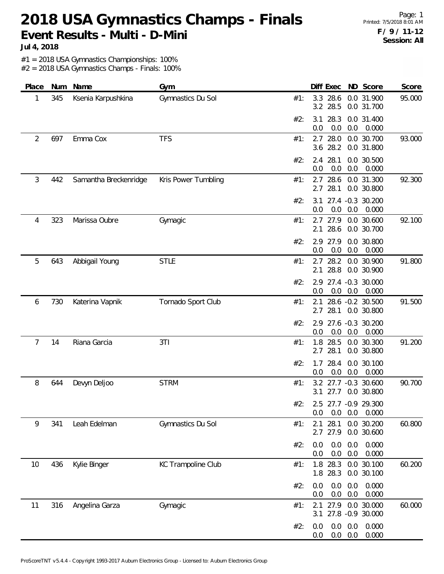Page: 1 Printed: 7/5/2018 8:01 AM **F / 9 / 11-12 Session: All**

**Jul 4, 2018**

#1 = 2018 USA Gymnastics Championships: 100%

| Place | Num | Name                  | Gym                 | Diff Exec ND Score<br>Score                                             |
|-------|-----|-----------------------|---------------------|-------------------------------------------------------------------------|
| 1     | 345 | Ksenia Karpushkina    | Gymnastics Du Sol   | 3.3 28.6<br>0.0 31.900<br>95.000<br>#1:<br>3.2 28.5<br>0.0 31.700       |
|       |     |                       |                     | 28.3<br>0.0 31.400<br>#2:<br>3.1<br>0.0<br>0.0<br>0.0<br>0.000          |
| 2     | 697 | Emma Cox              | <b>TFS</b>          | 28.0<br>0.0 30.700<br>93.000<br>2.7<br>#1:<br>3.6 28.2<br>0.0 31.800    |
|       |     |                       |                     | 2.4 28.1<br>0.0 30.500<br>#2:<br>0.0<br>0.0<br>0.0<br>0.000             |
| 3     | 442 | Samantha Breckenridge | Kris Power Tumbling | 92.300<br>2.7 28.6<br>0.0 31.300<br>#1:<br>2.7<br>28.1<br>0.0 30.800    |
|       |     |                       |                     | 27.4 -0.3 30.200<br>3.1<br>#2:<br>0.0<br>0.0<br>0.0<br>0.000            |
| 4     | 323 | Marissa Oubre         | Gymagic             | 92.100<br>2.7 27.9<br>0.0 30.600<br>#1:<br>2.1<br>28.6<br>0.0 30.700    |
|       |     |                       |                     | 2.9 27.9<br>0.0 30.800<br>#2:<br>0.0<br>0.0<br>0.0<br>0.000             |
| 5     | 643 | Abbigail Young        | <b>STLE</b>         | 28.2<br>0.0 30.900<br>91.800<br>2.7<br>#1:<br>28.8<br>0.0 30.900<br>2.1 |
|       |     |                       |                     | 27.4 -0.3 30.000<br>#2:<br>2.9<br>0.0<br>0.0<br>0.0<br>0.000            |
| 6     | 730 | Katerina Vapnik       | Tornado Sport Club  | 91.500<br>28.6 -0.2 30.500<br>#1:<br>2.1<br>28.1<br>2.7<br>0.0 30.800   |
|       |     |                       |                     | 27.6 -0.3 30.200<br>#2:<br>2.9<br>0.0<br>0.0<br>0.000<br>0.0            |
| 7     | 14  | Riana Garcia          | 3T1                 | 1.8 28.5<br>91.200<br>0.0 30.300<br>#1:<br>2.7<br>28.1<br>0.0 30.800    |
|       |     |                       |                     | 28.4<br>0.0 30.100<br>1.7<br>#2:<br>0.0<br>0.0<br>0.000<br>0.0          |
| 8     | 644 | Devyn Deljoo          | <b>STRM</b>         | 3.2 27.7 -0.3 30.600<br>90.700<br>#1:<br>0.0 30.800<br>3.1<br>27.7      |
|       |     |                       |                     | #2:<br>2.5 27.7 -0.9 29.300<br>0.0<br>0.000<br>0.0<br>0.0               |
| 9     | 341 | Leah Edelman          | Gymnastics Du Sol   | 28.1<br>2.1<br>0.0 30.200<br>60.800<br>#1:<br>2.7 27.9<br>0.0 30.600    |
|       |     |                       |                     | 0.0<br>0.0<br>0.0<br>0.000<br>#2:<br>0.0<br>0.0<br>0.0<br>0.000         |
| 10    | 436 | Kylie Binger          | KC Trampoline Club  | 1.8 28.3<br>0.0 30.100<br>60.200<br>#1:<br>1.8 28.3<br>0.0 30.100       |
|       |     |                       |                     | 0.0<br>0.0<br>0.0<br>0.000<br>#2:<br>0.0<br>0.0<br>0.0<br>0.000         |
| 11    | 316 | Angelina Garza        | Gymagic             | 60.000<br>27.9 0.0 30.000<br>#1:<br>2.1<br>27.8 -0.9 30.000<br>3.1      |
|       |     |                       |                     | 0.0<br>0.0<br>0.000<br>0.0<br>#2:<br>0.0<br>0.0<br>0.000<br>0.0         |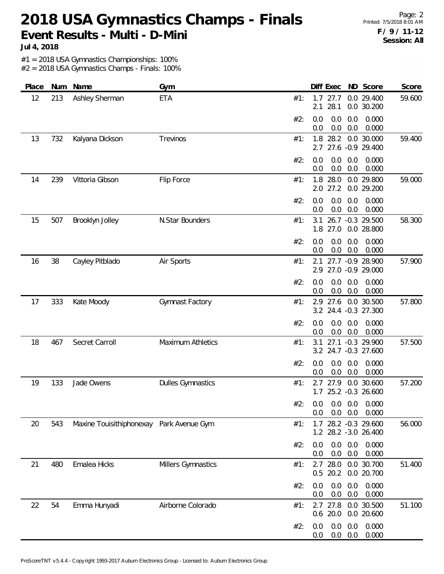Page: 2 Printed: 7/5/2018 8:01 AM **F / 9 / 11-12 Session: All**

**Jul 4, 2018**

#1 = 2018 USA Gymnastics Championships: 100%

| Place | Num | Name                                     | Gym                      |     | Diff Exec                                      | ND Score                       | Score  |
|-------|-----|------------------------------------------|--------------------------|-----|------------------------------------------------|--------------------------------|--------|
| 12    | 213 | Ashley Sherman                           | <b>ETA</b>               | #1: | 1.7<br>27.7<br>28.1<br>2.1                     | 0.0 29.400<br>0.0 30.200       | 59.600 |
|       |     |                                          |                          | #2: | 0.0<br>0.0<br>0.0<br>0.0<br>0.0<br>0.0         | 0.000<br>0.000                 |        |
| 13    | 732 | Kalyana Dickson                          | Trevinos                 | #1: | 1.8 28.2<br>2.7 27.6 -0.9 29.400               | 0.0 30.000                     | 59.400 |
|       |     |                                          |                          | #2: | 0.0<br>0.0<br>0.0<br>0.0<br>0.0<br>0.0         | 0.000<br>0.000                 |        |
| 14    | 239 | Vittoria Gibson                          | Flip Force               | #1: | 1.8 28.0<br>2.0 27.2                           | 0.0 29.800<br>0.0 29.200       | 59.000 |
|       |     |                                          |                          | #2: | 0.0<br>0.0<br>0.0<br>0.0<br>0.0<br>0.0         | 0.000<br>0.000                 |        |
| 15    | 507 | Brooklyn Jolley                          | N.Star Bounders          | #1: | 3.1<br>1.8 27.0                                | 26.7 -0.3 29.500<br>0.0 28.800 | 58.300 |
|       |     |                                          |                          | #2: | 0.0<br>0.0<br>0.0<br>0.0<br>0.0<br>0.0         | 0.000<br>0.000                 |        |
| 16    | 38  | Cayley Pitblado                          | Air Sports               | #1: | 2.1<br>2.9 27.0 -0.9 29.000                    | 27.7 -0.9 28.900               | 57.900 |
|       |     |                                          |                          | #2: | 0.0<br>0.0<br>0.0<br>0.0<br>0.0<br>0.0         | 0.000<br>0.000                 |        |
| 17    | 333 | Kate Moody                               | Gymnast Factory          | #1: | 2.9 27.6 0.0 30.500<br>3.2 24.4 -0.3 27.300    |                                | 57.800 |
|       |     |                                          |                          | #2: | 0.0<br>0.0<br>0.0<br>0.0<br>0.0<br>0.0         | 0.000<br>0.000                 |        |
| 18    | 467 | Secret Carroll                           | Maximum Athletics        | #1: | 3.1<br>3.2 24.7 -0.3 27.600                    | 27.1 -0.3 29.900               | 57.500 |
|       |     |                                          |                          | #2: | 0.0<br>0.0<br>0.0<br>0.0<br>0.0<br>0.0         | 0.000<br>0.000                 |        |
| 19    | 133 | Jade Owens                               | <b>Dulles Gymnastics</b> | #1: | 27.9<br>2.7<br>1.7 25.2 -0.3 26.600            | 0.0 30.600                     | 57.200 |
|       |     |                                          |                          | #2: | $0.0$ $0.0$ $0.0$ $0.000$<br>0.0<br>0.0<br>0.0 | 0.000                          |        |
| 20    | 543 | Maxine Touisithiphonexay Park Avenue Gym |                          | #1: | 1.7 28.2 -0.3 29.600<br>1.2 28.2 -3.0 26.400   |                                | 56.000 |
|       |     |                                          |                          | #2: | 0.0<br>0.0<br>0.0<br>0.0<br>0.0<br>0.0         | 0.000<br>0.000                 |        |
| 21    | 480 | Emalea Hicks                             | Millers Gymnastics       | #1: | $2.7$ 28.0<br>$0.5$ 20.2                       | 0.0 30.700<br>0.0 20.700       | 51.400 |
|       |     |                                          |                          | #2: | 0.0<br>0.0<br>0.0<br>0.0<br>0.0<br>0.0         | 0.000<br>0.000                 |        |
| 22    | 54  | Emma Hunyadi                             | Airborne Colorado        | #1: | $2.7$ 27.8<br>$0.6$ 20.0                       | 0.0 30.500<br>0.0 20.600       | 51.100 |
|       |     |                                          |                          | #2: | 0.0<br>0.0<br>0.0<br>0.0<br>0.0<br>0.0         | 0.000<br>0.000                 |        |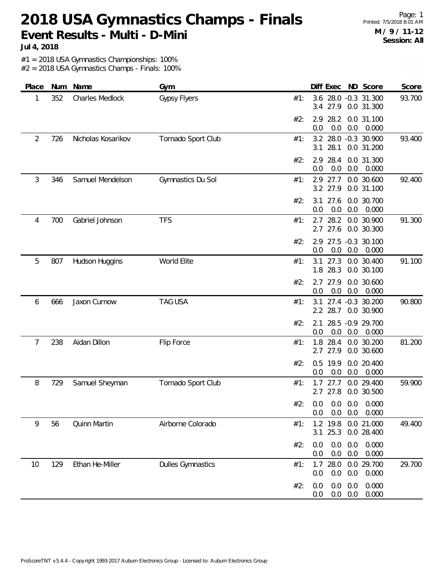Page: 1 Printed: 7/5/2018 8:01 AM **M / 9 / 11-12 Session: All**

**Jul 4, 2018**

#1 = 2018 USA Gymnastics Championships: 100%

| Place | Num | Name               | Gym                      | Diff Exec ND Score<br>Score                                              |
|-------|-----|--------------------|--------------------------|--------------------------------------------------------------------------|
| 1     | 352 | Charles Medlock    | <b>Gypsy Flyers</b>      | 3.6 28.0 -0.3 31.300<br>93.700<br>#1:<br>3.4 27.9<br>0.0 31.300          |
|       |     |                    |                          | 2.9 28.2<br>0.0 31.100<br>#2:<br>0.0<br>0.0<br>0.0<br>0.000              |
| 2     | 726 | Nicholas Kosarikov | Tornado Sport Club       | 3.2 28.0 -0.3 30.900<br>93.400<br>#1:<br>28.1<br>3.1<br>0.0 31.200       |
|       |     |                    |                          | 28.4<br>#2:<br>2.9<br>0.0 31.300<br>0.0<br>0.0<br>0.0<br>0.000           |
| 3     | 346 | Samuel Mendelson   | Gymnastics Du Sol        | 0.0 30.600<br>92.400<br>2.9 27.7<br>#1:<br>3.2 27.9<br>0.0 31.100        |
|       |     |                    |                          | 27.6<br>0.0 30.700<br>#2:<br>3.1<br>0.0<br>0.0<br>0.000<br>0.0           |
| 4     | 700 | Gabriel Johnson    | <b>TFS</b>               | 28.2<br>91.300<br>2.7<br>0.0 30.900<br>#1:<br>$2.7$ 27.6<br>0.0 30.300   |
|       |     |                    |                          | 2.9 27.5 -0.3 30.100<br>#2:<br>0.0<br>0.0<br>0.0<br>0.000                |
| 5     | 807 | Hudson Huggins     | World Elite              | 91.100<br>3.1<br>27.3<br>0.0 30.400<br>#1:<br>1.8 28.3<br>0.0 30.100     |
|       |     |                    |                          | #2:<br>2.7<br>27.9<br>0.0 30.600<br>0.0<br>0.000<br>0.0<br>0.0           |
| 6     | 666 | Jaxon Curnow       | <b>TAG USA</b>           | 90.800<br>3.1 27.4 -0.3 30.200<br>#1:<br>2.2 28.7<br>0.0 30.900          |
|       |     |                    |                          | 28.5 -0.9 29.700<br>#2:<br>2.1<br>0.0<br>0.000<br>0.0<br>0.0             |
| 7     | 238 | Aidan Dillon       | Flip Force               | 28.4<br>81.200<br>1.8<br>0.0 30.200<br>#1:<br>2.7 27.9<br>0.0 30.600     |
|       |     |                    |                          | 19.9<br>0.0 20.400<br>#2:<br>0.5<br>0.0<br>0.0<br>0.0<br>0.000           |
| 8     | 729 | Samuel Sheyman     | Tornado Sport Club       | 27.7<br>0.0 29.400<br>59.900<br>#1:<br>1.7<br>2.7 27.8<br>0.0 30.500     |
|       |     |                    |                          | #2: 0.0 0.0 0.0 0.000<br>0.0<br>0.0<br>0.000<br>0.0                      |
| 9     | 56  | Quinn Martin       | Airborne Colorado        | 1.2 19.8 0.0 21.000<br>49.400<br>#1:<br>3.1<br>25.3 0.0 28.400           |
|       |     |                    |                          | 0.000<br>#2:<br>0.0<br>0.0<br>0.0<br>0.000<br>0.0<br>0.0<br>0.0          |
| 10    | 129 | Ethan He-Miller    | <b>Dulles Gymnastics</b> | 0.0 29.700<br>1.7<br>28.0<br>29.700<br>#1:<br>0.0<br>0.0<br>0.0<br>0.000 |
|       |     |                    |                          | 0.000<br>0.0<br>0.0<br>0.0<br>#2:<br>0.000<br>0.0<br>0.0<br>0.0          |
|       |     |                    |                          |                                                                          |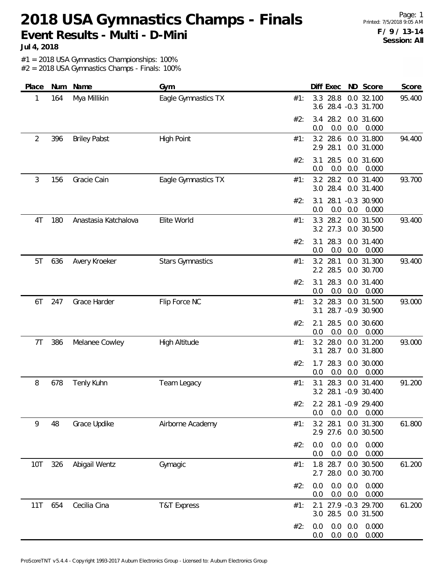Page: 1 Printed: 7/5/2018 9:05 AM **F / 9 / 13-14 Session: All**

**Jul 4, 2018**

#1 = 2018 USA Gymnastics Championships: 100%

| Place | Num | Name                 | Gym                     | Score<br>Diff Exec ND Score                                          |
|-------|-----|----------------------|-------------------------|----------------------------------------------------------------------|
| 1     | 164 | Mya Millikin         | Eagle Gymnastics TX     | 3.3<br>28.8<br>0.0 32.100<br>95.400<br>#1:<br>3.6 28.4 -0.3 31.700   |
|       |     |                      |                         | 3.4 28.2<br>0.0 31.600<br>#2:<br>0.0<br>0.0<br>0.0<br>0.000          |
| 2     | 396 | <b>Briley Pabst</b>  | <b>High Point</b>       | 28.6<br>3.2<br>0.0 31.800<br>94.400<br>#1:<br>2.9 28.1<br>0.0 31.000 |
|       |     |                      |                         | 28.5<br>0.0 31.600<br>#2:<br>3.1<br>0.000<br>0.0<br>0.0<br>0.0       |
| 3     | 156 | Gracie Cain          | Eagle Gymnastics TX     | 93.700<br>3.2 28.2 0.0 31.400<br>#1:<br>3.0 28.4<br>0.0 31.400       |
|       |     |                      |                         | 28.1<br>$-0.3$ 30.900<br>#2:<br>3.1<br>0.0<br>0.0<br>0.0<br>0.000    |
| 4T    | 180 | Anastasia Katchalova | Elite World             | 3.3 28.2<br>93.400<br>0.0 31.500<br>#1:<br>3.2 27.3<br>0.0 30.500    |
|       |     |                      |                         | #2:<br>3.1<br>28.3<br>0.0 31.400<br>0.0<br>0.0<br>0.000<br>0.0       |
| 5T    | 636 | Avery Kroeker        | <b>Stars Gymnastics</b> | 28.1<br>0.0 31.300<br>93.400<br>3.2<br>#1:<br>2.2 28.5<br>0.0 30.700 |
|       |     |                      |                         | 28.3<br>#2:<br>3.1<br>0.0 31.400<br>0.0<br>0.0<br>0.000<br>0.0       |
| 6T    | 247 | Grace Harder         | Flip Force NC           | 93.000<br>3.2 28.3<br>0.0 31.500<br>#1:<br>28.7 - 0.9 30.900<br>3.1  |
|       |     |                      |                         | 28.5<br>#2:<br>2.1<br>0.0 30.600<br>0.0<br>0.0<br>0.000<br>0.0       |
| 7T    | 386 | Melanee Cowley       | High Altitude           | 3.2 28.0<br>93.000<br>0.0 31.200<br>#1:<br>3.1<br>28.7<br>0.0 31.800 |
|       |     |                      |                         | #2:<br>1.7<br>28.3<br>0.0 30.000<br>0.0<br>0.0<br>0.0<br>0.000       |
| 8     | 678 | Tenly Kuhn           | Team Legacy             | 28.3<br>91.200<br>0.0 31.400<br>#1:<br>3.1<br>3.2 28.1 -0.9 30.400   |
|       |     |                      |                         | 2.2 28.1 -0.9 29.400<br>#2:<br>0.0<br>0.000<br>0.0<br>0.0            |
| 9     | 48  | Grace Updike         | Airborne Academy        | 3.2 28.1<br>0.0 31.300<br>61.800<br>#1:<br>2.9 27.6<br>0.0 30.500    |
|       |     |                      |                         | 0.0<br>0.0<br>0.0<br>0.000<br>#2:<br>0.0<br>0.0<br>0.0<br>0.000      |
| 10T   | 326 | Abigail Wentz        | Gymagic                 | 1.8 28.7<br>0.0 30.500<br>61.200<br>#1:<br>2.7 28.0<br>0.0 30.700    |
|       |     |                      |                         | 0.0<br>0.0<br>0.000<br>0.0<br>#2:<br>0.0<br>0.0<br>0.000<br>0.0      |
| 11T   | 654 | Cecilia Cina         | <b>T&amp;T Express</b>  | 27.9 -0.3 29.700<br>61.200<br>#1:<br>2.1<br>3.0 28.5<br>0.0 31.500   |
|       |     |                      |                         | 0.0<br>0.0<br>0.000<br>0.0<br>#2:<br>0.0<br>0.0<br>0.000<br>0.0      |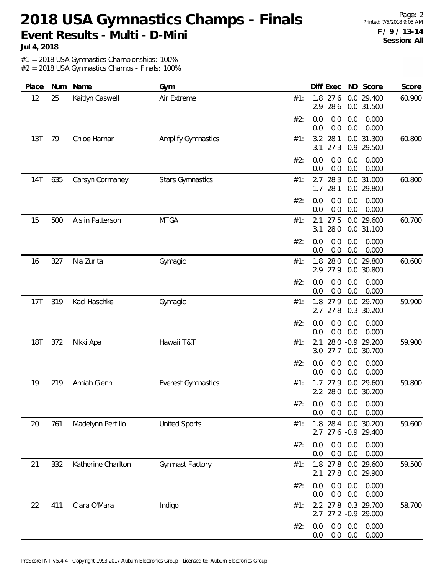Page: 2 Printed: 7/5/2018 9:05 AM **F / 9 / 13-14 Session: All**

**Jul 4, 2018**

#1 = 2018 USA Gymnastics Championships: 100%

| Place      | Num | Name               | Gym                       |     | Diff Exec       |                |                | ND Score                                     | Score  |
|------------|-----|--------------------|---------------------------|-----|-----------------|----------------|----------------|----------------------------------------------|--------|
| 12         | 25  | Kaitlyn Caswell    | Air Extreme               | #1: | 1.8<br>2.9      | 27.6<br>28.6   |                | 0.0 29.400<br>0.0 31.500                     | 60.900 |
|            |     |                    |                           | #2: | 0.0<br>0.0      | 0.0<br>0.0     | 0.0<br>0.0     | 0.000<br>0.000                               |        |
| 13T        | 79  | Chloe Harnar       | <b>Amplify Gymnastics</b> | #1: | 3.2<br>3.1      | 28.1           |                | 0.0 31.300<br>27.3 -0.9 29.500               | 60.800 |
|            |     |                    |                           | #2: | 0.0<br>0.0      | 0.0<br>0.0     | 0.0<br>0.0     | 0.000<br>0.000                               |        |
| 14T        | 635 | Carsyn Cormaney    | <b>Stars Gymnastics</b>   | #1: | 2.7<br>1.7      | 28.3<br>28.1   |                | 0.0 31.000<br>0.0 29.800                     | 60.800 |
|            |     |                    |                           | #2: | 0.0<br>0.0      | 0.0<br>0.0     | 0.0<br>0.0     | 0.000<br>0.000                               |        |
| 15         | 500 | Aislin Patterson   | <b>MTGA</b>               | #1: | 2.1<br>3.1      | 27.5<br>28.0   |                | 0.0 29.600<br>0.0 31.100                     | 60.700 |
|            |     |                    |                           | #2: | 0.0<br>0.0      | 0.0<br>0.0     | 0.0<br>0.0     | 0.000<br>0.000                               |        |
| 16         | 327 | Nia Zurita         | Gymagic                   | #1: | 1.8<br>2.9 27.9 | 28.0           |                | 0.0 29.800<br>0.0 30.800                     | 60.600 |
|            |     |                    |                           | #2: | 0.0<br>0.0      | 0.0<br>0.0     | 0.0<br>0.0     | 0.000<br>0.000                               |        |
| 17T        | 319 | Kaci Haschke       | Gymagic                   | #1: | 1.8<br>2.7      | 27.9           |                | 0.0 29.700<br>27.8 -0.3 30.200               | 59.900 |
|            |     |                    |                           | #2: | 0.0<br>0.0      | 0.0<br>0.0     | 0.0<br>0.0     | 0.000<br>0.000                               |        |
| <b>18T</b> | 372 | Nikki Apa          | Hawaii T&T                | #1: | 2.1<br>3.0      | 27.7           |                | 28.0 -0.9 29.200<br>0.0 30.700               | 59.900 |
|            |     |                    |                           | #2: | 0.0<br>0.0      | 0.0<br>0.0     | 0.0<br>0.0     | 0.000<br>0.000                               |        |
| 19         | 219 | Amiah Glenn        | <b>Everest Gymnastics</b> | #1: | 1.7<br>2.2 28.0 | 27.9           |                | 0.0 29.600<br>0.0 30.200                     | 59.800 |
|            |     |                    |                           | #2: | 0.0             | $0.0\quad 0.0$ |                | $0.0$ $0.0$ $0.0$ $0.000$<br>0.000           |        |
| 20         | 761 | Madelynn Perfilio  | <b>United Sports</b>      | #1: |                 |                |                | 1.8 28.4 0.0 30.200<br>2.7 27.6 -0.9 29.400  | 59.600 |
|            |     |                    |                           | #2: | 0.0<br>0.0      | 0.0<br>0.0     | 0.0<br>0.0     | 0.000<br>0.000                               |        |
| 21         | 332 | Katherine Charlton | Gymnast Factory           | #1: | 2.1 27.8        | 1.8 27.8       |                | 0.0 29.600<br>0.0 29.900                     | 59.500 |
|            |     |                    |                           | #2: | 0.0<br>0.0      | 0.0<br>0.0     | 0.0<br>0.0     | 0.000<br>0.000                               |        |
| 22         | 411 | Clara O'Mara       | Indigo                    | #1: |                 |                |                | 2.2 27.8 -0.3 29.700<br>2.7 27.2 -0.9 29.000 | 58.700 |
|            |     |                    |                           | #2: | 0.0<br>0.0      | 0.0<br>0.0     | 0.0<br>$0.0\,$ | 0.000<br>0.000                               |        |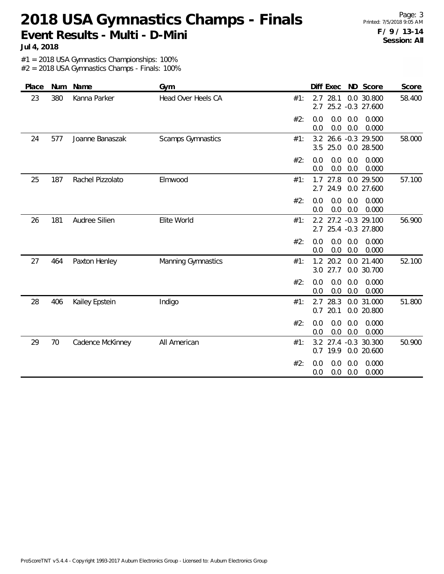Page: 3 Printed: 7/5/2018 9:05 AM **F / 9 / 13-14 Session: All**

**Jul 4, 2018**

#1 = 2018 USA Gymnastics Championships: 100%

| Place |     | Num Name         | Gym                       | Diff Exec ND Score<br>Score                                             |
|-------|-----|------------------|---------------------------|-------------------------------------------------------------------------|
| 23    | 380 | Kanna Parker     | Head Over Heels CA        | $2.7$ 28.1<br>0.0 30.800<br>58.400<br>#1:<br>25.2 -0.3 27.600<br>2.7    |
|       |     |                  |                           | 0.0<br>0.0<br>#2:<br>0.0<br>0.000<br>0.0<br>0.0<br>0.000<br>0.0         |
| 24    | 577 | Joanne Banaszak  | <b>Scamps Gymnastics</b>  | 3.2 26.6 -0.3 29.500<br>58.000<br>#1:<br>3.5<br>25.0<br>0.0 28.500      |
|       |     |                  |                           | #2:<br>0.0<br>0.0<br>0.0<br>0.000<br>0.0<br>0.0<br>0.0<br>0.000         |
| 25    | 187 | Rachel Pizzolato | Elmwood                   | 57.100<br>$1.7$ 27.8<br>0.0 29.500<br>#1:<br>2.7<br>24.9<br>0.0 27.600  |
|       |     |                  |                           | #2:<br>0.0<br>0.0<br>0.0<br>0.000<br>0.0<br>0.0<br>0.0<br>0.000         |
| 26    | 181 | Audree Silien    | Elite World               | 56.900<br>2.2 27.2 -0.3 29.100<br>#1:<br>2.7<br>25.4 -0.3 27.800        |
|       |     |                  |                           | #2:<br>0.0<br>0.0<br>0.0<br>0.000<br>0.0<br>0.0<br>0.000<br>0.0         |
| 27    | 464 | Paxton Henley    | <b>Manning Gymnastics</b> | 20.2<br>0.0 21.400<br>52.100<br>1.2<br>#1:<br>27.7<br>0.0 30.700<br>3.0 |
|       |     |                  |                           | #2:<br>0.0<br>0.0<br>0.0<br>0.000<br>$0.0\,$<br>0.0<br>0.000<br>0.0     |
| 28    | 406 | Kailey Epstein   | Indigo                    | 28.3<br>2.7<br>0.0 31.000<br>51.800<br>#1:<br>20.1<br>0.0 20.800<br>0.7 |
|       |     |                  |                           | 0.0<br>0.0<br>0.0<br>0.000<br>#2:<br>0.0<br>0.0<br>0.000<br>0.0         |
| 29    | 70  | Cadence McKinney | All American              | 3.2<br>27.4 -0.3 30.300<br>50.900<br>#1:<br>19.9<br>0.0 20.600<br>0.7   |
|       |     |                  |                           | 0.000<br>#2:<br>0.0<br>0.0<br>0.0<br>0.0<br>0.0<br>0.000<br>0.0         |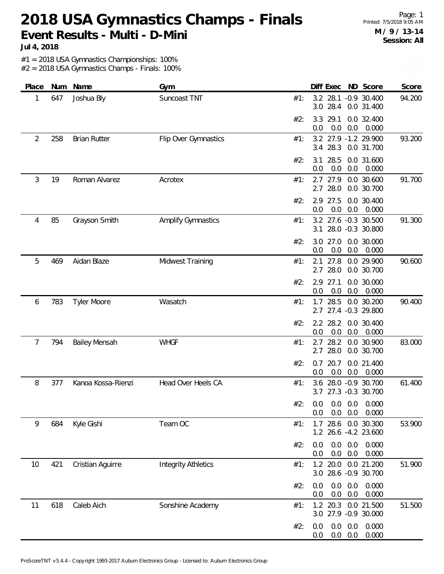Page: 1 Printed: 7/5/2018 9:05 AM **M / 9 / 13-14 Session: All**

**Jul 4, 2018**

#1 = 2018 USA Gymnastics Championships: 100%

| Place | Num | Name                 | Gym                        |     | Diff Exec                    | ND Score                                  | Score  |
|-------|-----|----------------------|----------------------------|-----|------------------------------|-------------------------------------------|--------|
| 1     | 647 | Joshua Bly           | Suncoast TNT               | #1: | 3.0<br>28.4                  | 3.2 28.1 -0.9 30.400<br>0.0 31.400        | 94.200 |
|       |     |                      |                            | #2: | 29.1<br>3.3<br>0.0<br>0.0    | 0.0 32.400<br>0.0<br>0.000                |        |
| 2     | 258 | <b>Brian Rutter</b>  | Flip Over Gymnastics       | #1: | 28.3<br>3.4                  | 3.2 27.9 -1.2 29.900<br>0.0 31.700        | 93.200 |
|       |     |                      |                            | #2: | 28.5<br>3.1<br>0.0<br>0.0    | 0.0 31.600<br>0.000<br>0.0                |        |
| 3     | 19  | Roman Alvarez        | Acrotex                    | #1: | 2.7<br>27.9<br>28.0<br>2.7   | 0.0 30.600<br>0.0 30.700                  | 91.700 |
|       |     |                      |                            | #2: | 2.9 27.5<br>0.0<br>0.0       | 0.0 30.400<br>0.0<br>0.000                |        |
| 4     | 85  | Grayson Smith        | <b>Amplify Gymnastics</b>  | #1: | 3.1                          | 3.2 27.6 -0.3 30.500<br>28.0 -0.3 30.800  | 91.300 |
|       |     |                      |                            | #2: | 3.0<br>27.0<br>0.0<br>0.0    | 0.0 30.000<br>0.0<br>0.000                |        |
| 5     | 469 | Aidan Blaze          | Midwest Training           | #1: | 27.8<br>2.1<br>2.7 28.0      | 0.0 29.900<br>0.0 30.700                  | 90.600 |
|       |     |                      |                            | #2: | 2.9 27.1<br>0.0<br>0.0       | 0.0 30.000<br>0.0<br>0.000                |        |
| 6     | 783 | <b>Tyler Moore</b>   | Wasatch                    | #1: | 28.5<br>1.7                  | 0.0 30.200<br>2.7 27.4 -0.3 29.800        | 90.400 |
|       |     |                      |                            | #2: | 2.2 28.2<br>0.0<br>0.0       | 0.0 30.400<br>0.0<br>0.000                |        |
| 7     | 794 | <b>Bailey Mensah</b> | <b>WHGF</b>                | #1: | 28.2<br>2.7<br>28.0<br>2.7   | 0.0 30.900<br>0.0 30.700                  | 83.000 |
|       |     |                      |                            | #2: | 20.7<br>0.7<br>0.0<br>0.0    | 0.0 21.400<br>0.0<br>0.000                |        |
| 8     | 377 | Kanoa Kossa-Rienzi   | Head Over Heels CA         | #1: | 3.6                          | 28.0 -0.9 30.700<br>3.7 27.3 -0.3 30.700  | 61.400 |
|       |     |                      |                            | #2: | 0.0<br>0.0                   | $0.0$ $0.0$ $0.0$ $0.000$<br>0.0<br>0.000 |        |
| 9     | 684 | Kyle Gishi           | Team OC                    | #1: | 28.6<br>1.7                  | 0.0 30.300<br>1.2 26.6 -4.2 23.600        | 53.900 |
|       |     |                      |                            | #2: | 0.0<br>0.0<br>$0.0\,$<br>0.0 | 0.0<br>0.000<br>0.0<br>0.000              |        |
| 10    | 421 | Cristian Aguirre     | <b>Integrity Athletics</b> | #1: | 1.2 20.0                     | 0.0 21.200<br>3.0 28.6 -0.9 30.700        | 51.900 |
|       |     |                      |                            | #2: | 0.0<br>0.0<br>$0.0\,$<br>0.0 | 0.0<br>0.000<br>0.0<br>0.000              |        |
| 11    | 618 | Caleb Aich           | Sonshine Academy           | #1: | 20.3<br>1.2                  | 0.0 21.500<br>3.0 27.9 -0.9 30.000        | 51.500 |
|       |     |                      |                            | #2: | 0.0<br>0.0<br>0.0<br>0.0     | 0.0<br>0.000<br>0.0<br>0.000              |        |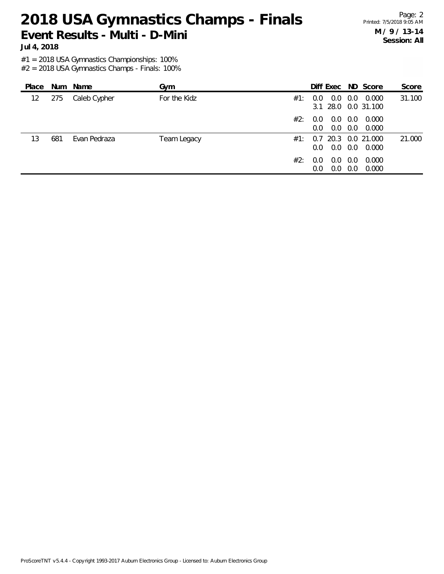Page: 2 Printed: 7/5/2018 9:05 AM **M / 9 / 13-14 Session: All**

**Jul 4, 2018**

#1 = 2018 USA Gymnastics Championships: 100%

| Place |     | Num Name     | Gym          |     | Diff Exec ND Score                |            |                          | Score  |
|-------|-----|--------------|--------------|-----|-----------------------------------|------------|--------------------------|--------|
| 12    | 275 | Caleb Cypher | For the Kidz | #1: | 0.0<br>0.0<br>3.1 28.0 0.0 31.100 | 0.0        | 0.000                    | 31.100 |
|       |     |              |              | #2: | 0.0<br>0.O<br>0.0<br>0.0          | 0.0<br>0.0 | 0.000<br>0.000           |        |
| 13    | 681 | Evan Pedraza | Team Legacy  | #1: | 0.7<br>0.0<br>$0.0^-$             | 0.0        | 20.3 0.0 21.000<br>0.000 | 21.000 |
|       |     |              |              | #2: | 0.0<br>0.0<br>0.0<br>0.0          | 0.0<br>0.0 | 0.000<br>0.000           |        |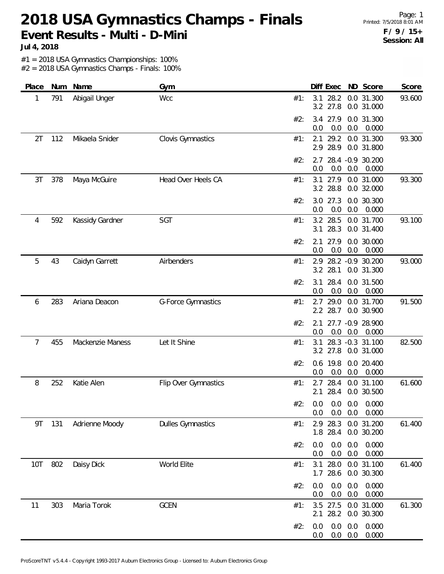Page: 1 Printed: 7/5/2018 8:01 AM **F / 9 / 15+ Session: All**

**Jul 4, 2018**

#1 = 2018 USA Gymnastics Championships: 100%

| Place | Num | Name             | Gym                      | Score<br>Diff Exec<br>ND Score                                                 |
|-------|-----|------------------|--------------------------|--------------------------------------------------------------------------------|
| 1     | 791 | Abigail Unger    | Wcc                      | 28.2<br>0.0 31.300<br>93.600<br>#1:<br>3.1<br>3.2 27.8<br>0.0 31.000           |
|       |     |                  |                          | 3.4 27.9<br>0.0 31.300<br>#2:<br>0.0<br>0.0<br>0.0<br>0.000                    |
| 2T    | 112 | Mikaela Snider   | Clovis Gymnastics        | 29.2<br>0.0 31.300<br>93.300<br>#1:<br>2.1<br>2.9 28.9<br>0.0 31.800           |
|       |     |                  |                          | 28.4 -0.9 30.200<br>#2:<br>2.7<br>0.0<br>0.0<br>0.0<br>0.000                   |
| 3T    | 378 | Maya McGuire     | Head Over Heels CA       | 93.300<br>3.1<br>27.9<br>0.0 31.000<br>#1:<br>3.2 28.8<br>0.0 32.000           |
|       |     |                  |                          | 27.3<br>#2:<br>3.0<br>0.0 30.300<br>0.0<br>0.0<br>0.0<br>0.000                 |
| 4     | 592 | Kassidy Gardner  | SGT                      | 3.2 28.5<br>93.100<br>0.0 31.700<br>#1:<br>3.1<br>28.3<br>0.0 31.400           |
|       |     |                  |                          | #2:<br>27.9<br>0.0 30.000<br>2.1<br>0.0<br>0.0<br>0.000<br>0.0                 |
| 5     | 43  | Caidyn Garrett   | Airbenders               | 93.000<br>28.2 - 0.9 30.200<br>2.9<br>#1:<br>3.2 28.1<br>0.0 31.300            |
|       |     |                  |                          | 28.4<br>#2:<br>3.1<br>0.0 31.500<br>0.0<br>0.0<br>0.000<br>0.0                 |
| 6     | 283 | Ariana Deacon    | G-Force Gymnastics       | 91.500<br>2.7 29.0<br>0.0 31.700<br>#1:<br>28.7<br>$2.2^{\circ}$<br>0.0 30.900 |
|       |     |                  |                          | 27.7 -0.9 28.900<br>#2:<br>2.1<br>0.0<br>0.0<br>0.0<br>0.000                   |
| 7     | 455 | Mackenzie Maness | Let It Shine             | 28.3 -0.3 31.100<br>82.500<br>3.1<br>#1:<br>3.2 27.8<br>0.0 31.000             |
|       |     |                  |                          | #2:<br>0.6 19.8<br>0.0 20.400<br>0.0<br>0.0<br>0.000<br>0.0                    |
| 8     | 252 | Katie Alen       | Flip Over Gymnastics     | 28.4<br>0.0 31.100<br>61.600<br>#1:<br>2.7<br>28.4<br>0.0 30.500<br>2.1        |
|       |     |                  |                          | #2: 0.0 0.0 0.0 0.000<br>0.0<br>0.000<br>0.0<br>0.0                            |
| 9T    | 131 | Adrienne Moody   | <b>Dulles Gymnastics</b> | 2.9 28.3<br>0.0 31.200<br>61.400<br>#1:<br>1.8 28.4<br>0.0 30.200              |
|       |     |                  |                          | 0.0<br>#2:<br>0.0<br>0.0<br>0.000<br>0.0<br>0.0<br>0.0<br>0.000                |
| 10T   | 802 | Daisy Dick       | World Elite              | 0.0 31.100<br>28.0<br>61.400<br>3.1<br>#1:<br>1.7 28.6<br>0.0 30.300           |
|       |     |                  |                          | 0.0<br>0.0<br>0.000<br>0.0<br>#2:<br>0.0<br>0.0<br>0.000<br>0.0                |
| 11    | 303 | Maria Torok      | <b>GCEN</b>              | 3.5 27.5 0.0 31.000<br>61.300<br>#1:<br>28.2<br>0.0 30.300<br>2.1              |
|       |     |                  |                          | 0.0<br>0.0<br>0.000<br>#2:<br>0.0<br>0.0<br>0.0<br>0.000<br>0.0                |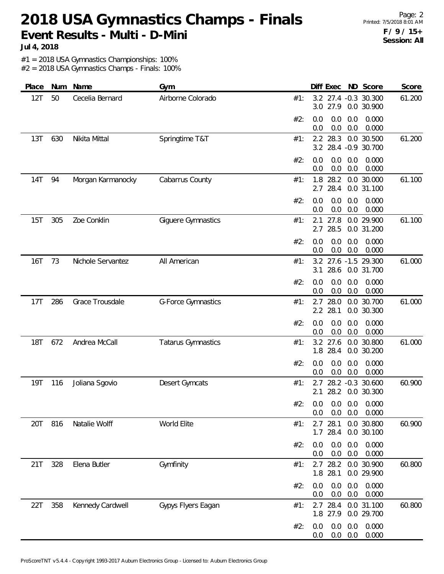Page: 2 Printed: 7/5/2018 8:01 AM **F / 9 / 15+ Session: All**

**Jul 4, 2018**

#1 = 2018 USA Gymnastics Championships: 100%

| Place      | Num | Name              | Gym                       | Diff Exec ND Score<br>Score                                             |
|------------|-----|-------------------|---------------------------|-------------------------------------------------------------------------|
| 12T        | 50  | Cecelia Bernard   | Airborne Colorado         | 3.2 27.4 -0.3 30.300<br>61.200<br>#1:<br>3.0 27.9<br>0.0 30.900         |
|            |     |                   |                           | 0.0<br>0.000<br>#2:<br>0.0<br>0.0<br>0.0<br>0.0<br>0.000<br>0.0         |
| 13T        | 630 | Nikita Mittal     | Springtime T&T            | 0.0 30.500<br>2.2 28.3<br>61.200<br>#1:<br>3.2 28.4 -0.9 30.700         |
|            |     |                   |                           | 0.0<br>#2:<br>0.0<br>0.0<br>0.000<br>0.000<br>0.0<br>0.0<br>0.0         |
| 14T        | 94  | Morgan Karmanocky | Cabarrus County           | 0.0 30.000<br>61.100<br>1.8 28.2<br>#1:<br>28.4<br>0.0 31.100<br>2.7    |
|            |     |                   |                           | 0.0<br>#2:<br>0.0<br>0.0<br>0.000<br>0.0<br>0.0<br>0.0<br>0.000         |
| 15T        | 305 | Zoe Conklin       | Giguere Gymnastics        | 2.1<br>27.8<br>0.0 29.900<br>61.100<br>#1:<br>28.5<br>0.0 31.200<br>2.7 |
|            |     |                   |                           | 0.0<br>0.0<br>0.0<br>0.000<br>#2:<br>0.0<br>0.0<br>0.000<br>0.0         |
| <b>16T</b> | 73  | Nichole Servantez | All American              | 3.2 27.6 -1.5 29.300<br>61.000<br>#1:<br>3.1<br>28.6<br>0.0 31.700      |
|            |     |                   |                           | #2:<br>0.0<br>0.0<br>0.0<br>0.000<br>0.0<br>0.0<br>0.0<br>0.000         |
| 17T        | 286 | Grace Trousdale   | G-Force Gymnastics        | 2.7 28.0<br>0.0 30.700<br>61.000<br>#1:<br>2.2 28.1<br>0.0 30.300       |
|            |     |                   |                           | 0.0<br>0.0<br>0.0<br>0.000<br>#2:<br>0.0<br>0.0<br>0.000<br>0.0         |
| <b>18T</b> | 672 | Andrea McCall     | <b>Tatarus Gymnastics</b> | 61.000<br>3.2 27.6<br>0.0 30.800<br>#1:<br>1.8 28.4<br>0.0 30.200       |
|            |     |                   |                           | 0.0<br>0.000<br>#2:<br>0.0<br>0.0<br>0.0<br>0.0<br>0.000<br>0.0         |
| <b>19T</b> | 116 | Joliana Sgovio    | Desert Gymcats            | 28.2 -0.3 30.600<br>60.900<br>#1:<br>2.7<br>28.2 0.0 30.300<br>2.1      |
|            |     |                   |                           | #2: 0.0 0.0 0.0 0.000<br>0.0<br>0.0<br>0.000<br>0.0                     |
| 20T        | 816 | Natalie Wolff     | World Elite               | 2.7 28.1<br>0.0 30.800<br>60.900<br>#1:<br>$1.7$ 28.4<br>0.0 30.100     |
|            |     |                   |                           | 0.0<br>0.0<br>0.0<br>0.000<br>#2:<br>0.0<br>0.0<br>0.000<br>0.0         |
| 21T        | 328 | Elena Butler      | Gymfinity                 | 28.2<br>0.0 30.900<br>60.800<br>2.7<br>#1:<br>1.8 28.1<br>0.0 29.900    |
|            |     |                   |                           | 0.0<br>0.0<br>0.0<br>0.000<br>#2:<br>0.0<br>0.0<br>0.000<br>0.0         |
| 22T        | 358 | Kennedy Cardwell  | Gypys Flyers Eagan        | 60.800<br>2.7 28.4 0.0 31.100<br>#1:<br>1.8 27.9<br>0.0 29.700          |
|            |     |                   |                           | 0.0<br>0.0<br>0.000<br>0.0<br>#2:<br>$0.0\ 0.0$<br>0.000<br>0.0         |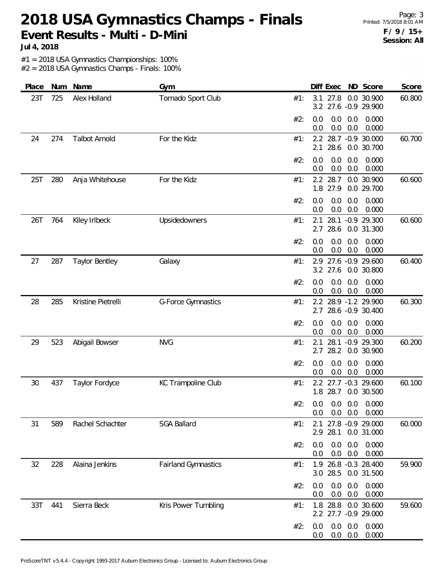Page: 3 Printed: 7/5/2018 8:01 AM **F / 9 / 15+ Session: All**

**Jul 4, 2018**

#1 = 2018 USA Gymnastics Championships: 100%

| Place | Num | Name                  | Gym                        | Score<br>Diff Exec<br>ND Score                                                  |
|-------|-----|-----------------------|----------------------------|---------------------------------------------------------------------------------|
| 23T   | 725 | Alex Holland          | Tornado Sport Club         | 27.8<br>0.0 30.900<br>60.800<br>#1:<br>3.1<br>3.2 27.6 -0.9 29.900              |
|       |     |                       |                            | #2:<br>0.0<br>0.0<br>0.0<br>0.000<br>0.0<br>0.0<br>0.000<br>0.0                 |
| 24    | 274 | <b>Talbot Arnold</b>  | For the Kidz               | 28.7 -0.9 30.000<br>60.700<br>#1:<br>$2.2^{\circ}$<br>28.6<br>0.0 30.700<br>2.1 |
|       |     |                       |                            | 0.0<br>0.0<br>#2:<br>0.0<br>0.000<br>0.0<br>0.0<br>0.0<br>0.000                 |
| 25T   | 280 | Anja Whitehouse       | For the Kidz               | 2.2 28.7<br>60.600<br>0.0 30.900<br>#1:<br>1.8 27.9<br>0.0 29.700               |
|       |     |                       |                            | 0.0<br>#2:<br>0.0<br>0.0<br>0.000<br>0.0<br>0.0<br>0.0<br>0.000                 |
| 26T   | 764 | Kiley Irlbeck         | Upsidedowners              | 28.1<br>$-0.9$ 29.300<br>60.600<br>2.1<br>#1:<br>28.6<br>0.0 31.300<br>2.7      |
|       |     |                       |                            | 0.000<br>#2:<br>0.0<br>0.0<br>0.0<br>0.0<br>0.0<br>0.000<br>0.0                 |
| 27    | 287 | <b>Taylor Bentley</b> | Galaxy                     | 27.6 -0.9 29.600<br>60.400<br>#1:<br>2.9<br>3.2 27.6<br>0.0 30.800              |
|       |     |                       |                            | #2:<br>0.0<br>0.0<br>0.0<br>0.000<br>0.0<br>0.0<br>0.0<br>0.000                 |
| 28    | 285 | Kristine Pietrelli    | <b>G-Force Gymnastics</b>  | 60.300<br>2.2 28.9 -1.2 29.900<br>#1:<br>28.6 -0.9 30.400<br>2.7                |
|       |     |                       |                            | 0.0<br>#2:<br>0.0<br>0.0<br>0.000<br>0.0<br>0.0<br>0.0<br>0.000                 |
| 29    | 523 | Abigail Bowser        | <b>NVG</b>                 | 28.1<br>60.200<br>$-0.9$ 29.300<br>2.1<br>#1:<br>28.2<br>0.0 30.900<br>2.7      |
|       |     |                       |                            | 0.000<br>#2:<br>0.0<br>0.0<br>0.0<br>0.0<br>0.0<br>0.000<br>0.0                 |
| 30    | 437 | Taylor Fordyce        | KC Trampoline Club         | 60.100<br>27.7 -0.3 29.600<br>#1:<br>2.2<br>1.8 28.7<br>0.0 30.500              |
|       |     |                       |                            | #2: 0.0 0.0 0.0 0.0 0.000<br>0.0<br>0.0<br>$0.0\quad 0.000$                     |
| 31    | 589 | Rachel Schachter      | <b>SGA Ballard</b>         | 2.1 27.8 -0.9 29.000<br>60.000<br>#1:<br>2.9 28.1<br>0.0 31.000                 |
|       |     |                       |                            | 0.0<br>0.0<br>0.0<br>0.000<br>#2:<br>$0.0\quad 0.0$<br>0.000<br>0.0             |
| 32    | 228 | Alaina Jenkins        | <b>Fairland Gymnastics</b> | 1.9 26.8 -0.3 28.400<br>59.900<br>#1:<br>3.0 28.5 0.0 31.500                    |
|       |     |                       |                            | 0.0<br>0.0<br>0.0<br>0.000<br>#2:<br>$0.0\ 0.0$<br>0.000<br>0.0                 |
| 33T   | 441 | Sierra Beck           | Kris Power Tumbling        | 1.8 28.8 0.0 30.600<br>59.600<br>#1:<br>2.2 27.7 -0.9 29.000                    |
|       |     |                       |                            | 0.000<br>#2:<br>0.0<br>0.0<br>0.0<br>0.000<br>$0.0\ 0.0$<br>0.0                 |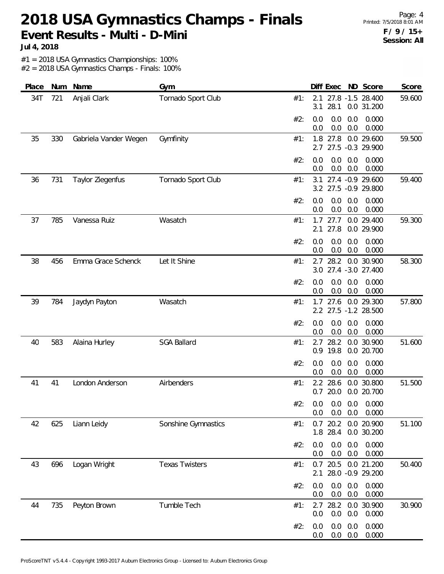Page: 4 Printed: 7/5/2018 8:01 AM **F / 9 / 15+ Session: All**

**Jul 4, 2018**

#1 = 2018 USA Gymnastics Championships: 100%

| Place | Num | Name                  | Gym                   | Score<br>Diff Exec ND Score                                            |
|-------|-----|-----------------------|-----------------------|------------------------------------------------------------------------|
| 34T   | 721 | Anjali Clark          | Tornado Sport Club    | 27.8 -1.5 28.400<br>59.600<br>#1:<br>2.1<br>28.1<br>0.0 31.200<br>3.1  |
|       |     |                       |                       | 0.0<br>#2:<br>0.0<br>0.0<br>0.000<br>0.0<br>0.0<br>0.000<br>0.0        |
| 35    | 330 | Gabriela Vander Wegen | Gymfinity             | 0.0 29.600<br>1.8 27.8<br>#1:<br>59.500<br>2.7 27.5 -0.3 29.900        |
|       |     |                       |                       | 0.0<br>0.0<br>0.000<br>#2:<br>0.0<br>0.0<br>0.0<br>0.000<br>0.0        |
| 36    | 731 | Taylor Ziegenfus      | Tornado Sport Club    | 59.400<br>27.4 -0.9 29.600<br>#1:<br>3.1<br>3.2 27.5 -0.9 29.800       |
|       |     |                       |                       | 0.0<br>0.0<br>#2:<br>0.0<br>0.000<br>0.0<br>0.0<br>0.0<br>0.000        |
| 37    | 785 | Vanessa Ruiz          | Wasatch               | 59.300<br>$1.7$ 27.7<br>0.0 29.400<br>#1:<br>27.8<br>0.0 29.900<br>2.1 |
|       |     |                       |                       | 0.000<br>#2:<br>0.0<br>0.0<br>0.0<br>0.0<br>0.0<br>0.000<br>0.0        |
| 38    | 456 | Emma Grace Schenck    | Let It Shine          | 28.2<br>0.0 30.900<br>58.300<br>#1:<br>2.7<br>3.0 27.4 -3.0 27.400     |
|       |     |                       |                       | #2:<br>0.0<br>0.0<br>0.0<br>0.000<br>0.0<br>0.0<br>0.0<br>0.000        |
| 39    | 784 | Jaydyn Payton         | Wasatch               | 57.800<br>$1.7$ 27.6<br>0.0 29.300<br>#1:<br>2.2 27.5 -1.2 28.500      |
|       |     |                       |                       | 0.0<br>#2:<br>0.0<br>0.0<br>0.000<br>0.0<br>0.0<br>0.0<br>0.000        |
| 40    | 583 | Alaina Hurley         | <b>SGA Ballard</b>    | 28.2<br>51.600<br>0.0 30.900<br>2.7<br>#1:<br>0.9 19.8<br>0.0 20.700   |
|       |     |                       |                       | 0.000<br>#2:<br>0.0<br>0.0<br>0.0<br>0.0<br>0.0<br>0.000<br>0.0        |
| 41    | 41  | London Anderson       | Airbenders            | 28.6<br>0.0 30.800<br>51.500<br>#1:<br>2.2<br>$0.7$ 20.0<br>0.0 20.700 |
|       |     |                       |                       | #2: 0.0 0.0 0.0 0.0 0.000<br>0.0<br>0.0<br>0.000<br>0.0                |
| 42    | 625 | Liann Leidy           | Sonshine Gymnastics   | 0.7 20.2 0.0 20.900<br>51.100<br>#1:<br>1.8 28.4<br>0.0 30.200         |
|       |     |                       |                       | #2:<br>0.0<br>0.0<br>0.0<br>0.000<br>0.0<br>0.0<br>0.0<br>0.000        |
| 43    | 696 | Logan Wright          | <b>Texas Twisters</b> | 20.5<br>0.0 21.200<br>50.400<br>0.7<br>#1:<br>28.0 -0.9 29.200<br>2.1  |
|       |     |                       |                       | 0.0<br>0.0<br>0.000<br>0.0<br>#2:<br>0.0<br>0.0<br>0.000<br>0.0        |
| 44    | 735 | Peyton Brown          | Tumble Tech           | 30.900<br>28.2 0.0 30.900<br>#1:<br>2.7<br>0.0<br>0.0<br>0.0<br>0.000  |
|       |     |                       |                       | 0.0<br>0.0<br>0.000<br>#2:<br>0.0<br>0.0<br>0.0<br>0.000<br>0.0        |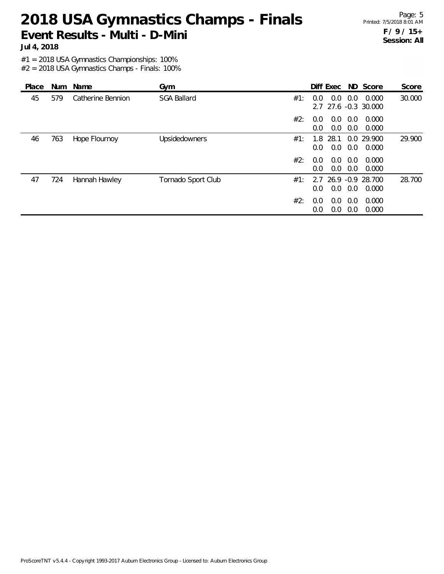Page: 5 Printed: 7/5/2018 8:01 AM **F / 9 / 15+ Session: All**

**Jul 4, 2018**

#1 = 2018 USA Gymnastics Championships: 100%

| Place |     | Num Name          | Gym                |     | Diff Exec ND Score                           |            |                     | Score  |
|-------|-----|-------------------|--------------------|-----|----------------------------------------------|------------|---------------------|--------|
| 45    | 579 | Catherine Bennion | <b>SGA Ballard</b> | #1: | 0.0<br>$0.0^{\circ}$<br>2.7 27.6 -0.3 30.000 | 0.0        | 0.000               | 30.000 |
|       |     |                   |                    | #2: | 0.0<br>0.0<br>0.0<br>0.0                     | 0.0<br>0.0 | 0.000<br>0.000      |        |
| 46    | 763 | Hope Flournoy     | Upsidedowners      | #1: | 28.1<br>1.8<br>0.0<br>0.0                    | 0.0        | 0.0 29.900<br>0.000 | 29.900 |
|       |     |                   |                    | #2: | 0.0<br>0.0<br>$0.0^{\circ}$<br>0.0           | 0.0<br>0.0 | 0.000<br>0.000      |        |
| 47    | 724 | Hannah Hawley     | Tornado Sport Club | #1: | 2.7 26.9 -0.9 28.700<br>0.0<br>0.0           | 0.0        | 0.000               | 28.700 |
|       |     |                   |                    | #2: | 0.0<br>0.0<br>0.0<br>0.0                     | 0.0<br>0.0 | 0.000<br>0.000      |        |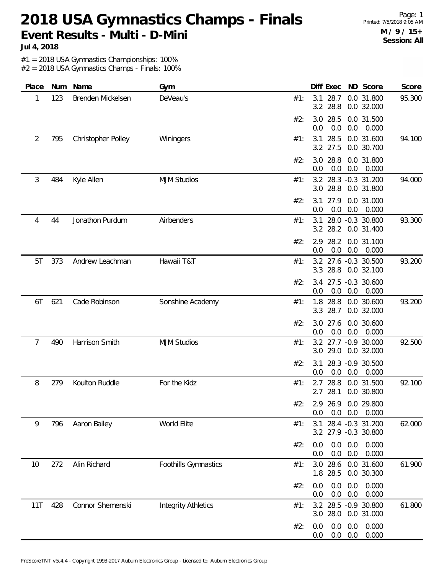Page: 1 Printed: 7/5/2018 9:05 AM **M / 9 / 15+ Session: All**

**Jul 4, 2018**

#1 = 2018 USA Gymnastics Championships: 100%

| Place | Num | Name               | Gym                        | Diff Exec ND Score<br>Score                                             |
|-------|-----|--------------------|----------------------------|-------------------------------------------------------------------------|
| 1     | 123 | Brenden Mickelsen  | DeVeau's                   | 28.7<br>0.0 31.800<br>95.300<br>#1:<br>3.1<br>3.2 28.8<br>0.0 32.000    |
|       |     |                    |                            | 3.0 28.5<br>0.0 31.500<br>#2:<br>0.0<br>0.0<br>0.0<br>0.000             |
| 2     | 795 | Christopher Polley | Winingers                  | 28.5<br>0.0 31.600<br>94.100<br>3.1<br>#1:<br>3.2 27.5<br>0.0 30.700    |
|       |     |                    |                            | 3.0 28.8<br>0.0 31.800<br>#2:<br>0.0<br>0.0<br>0.0<br>0.000             |
| 3     | 484 | Kyle Allen         | <b>MJM Studios</b>         | 94.000<br>3.2 28.3 -0.3 31.200<br>#1:<br>3.0 28.8<br>0.0 31.800         |
|       |     |                    |                            | 27.9<br>0.0 31.000<br>#2:<br>3.1<br>0.0<br>0.0<br>0.0<br>0.000          |
| 4     | 44  | Jonathon Purdum    | Airbenders                 | 93.300<br>28.0 -0.3 30.800<br>#1:<br>3.1<br>3.2 28.2<br>0.0 31.400      |
|       |     |                    |                            | 2.9 28.2<br>0.0 31.100<br>#2:<br>0.0<br>0.0<br>0.0<br>0.000             |
| 5T    | 373 | Andrew Leachman    | Hawaii T&T                 | 3.2 27.6 -0.3 30.500<br>93.200<br>#1:<br>3.3 28.8<br>0.0 32.100         |
|       |     |                    |                            | 3.4 27.5 -0.3 30.600<br>#2:<br>0.0<br>0.0<br>0.0<br>0.000               |
| 6T    | 621 | Cade Robinson      | Sonshine Academy           | 93.200<br>1.8 28.8<br>0.0 30.600<br>#1:<br>3.3 28.7<br>0.0 32.000       |
|       |     |                    |                            | 3.0 27.6<br>0.0 30.600<br>#2:<br>0.0<br>0.0<br>0.0<br>0.000             |
| 7     | 490 | Harrison Smith     | <b>MJM Studios</b>         | 3.2 27.7 -0.9 30.000<br>92.500<br>#1:<br>3.0 29.0<br>0.0 32.000         |
|       |     |                    |                            | 28.3 -0.9 30.500<br>#2:<br>3.1<br>0.0<br>0.0<br>0.0<br>0.000            |
| 8     | 279 | Koulton Ruddle     | For the Kidz               | 28.8<br>0.0 31.500<br>92.100<br>#1:<br>2.7<br>28.1<br>2.7<br>0.0 30.800 |
|       |     |                    |                            | #2:<br>2.9 26.9 0.0 29.800<br>0.0<br>$0.0\quad 0.000$<br>0.0            |
| 9     | 796 | Aaron Bailey       | World Elite                | 3.1 28.4 -0.3 31.200<br>62.000<br>#1:<br>3.2 27.9 -0.3 30.800           |
|       |     |                    |                            | 0.0<br>0.0<br>0.000<br>#2:<br>0.0<br>0.0<br>0.0<br>0.0<br>0.000         |
| 10    | 272 | Alin Richard       | Foothills Gymnastics       | 3.0 28.6<br>0.0 31.600<br>61.900<br>#1:<br>1.8 28.5<br>0.0 30.300       |
|       |     |                    |                            | 0.0<br>0.0<br>0.000<br>#2:<br>0.0<br>0.0<br>0.0<br>0.000<br>0.0         |
| 11T   | 428 | Connor Shemenski   | <b>Integrity Athletics</b> | 61.800<br>3.2 28.5 -0.9 30.800<br>#1:<br>3.0 28.0<br>0.0 31.000         |
|       |     |                    |                            | 0.0<br>0.0<br>0.000<br>0.0<br>#2:<br>$0.0\ 0.0$<br>0.000<br>0.0         |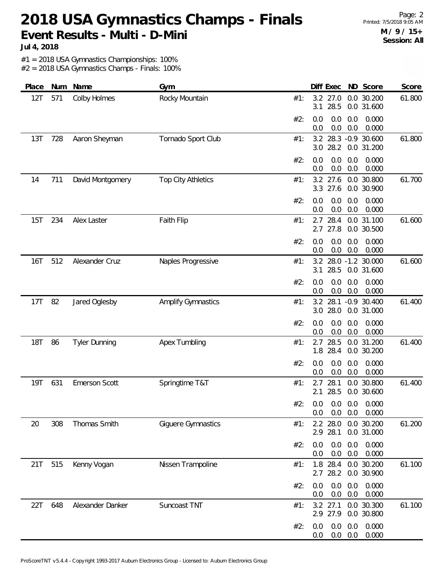Page: 2 Printed: 7/5/2018 9:05 AM **M / 9 / 15+ Session: All**

**Jul 4, 2018**

#1 = 2018 USA Gymnastics Championships: 100%

| Place      | Num | Name                 | Gym                       |     |            | Diff Exec            |            | ND Score                                       | Score  |
|------------|-----|----------------------|---------------------------|-----|------------|----------------------|------------|------------------------------------------------|--------|
| 12T        | 571 | Colby Holmes         | Rocky Mountain            | #1: | 3.2<br>3.1 | 27.0<br>28.5         |            | 0.0 30.200<br>0.0 31.600                       | 61.800 |
|            |     |                      |                           | #2: | 0.0<br>0.0 | 0.0<br>0.0           | 0.0<br>0.0 | 0.000<br>0.000                                 |        |
| 13T        | 728 | Aaron Sheyman        | Tornado Sport Club        | #1: | 3.2        | 3.0 28.2             |            | 28.3 -0.9 30.600<br>0.0 31.200                 | 61.800 |
|            |     |                      |                           | #2: | 0.0<br>0.0 | 0.0<br>0.0           | 0.0<br>0.0 | 0.000<br>0.000                                 |        |
| 14         | 711 | David Montgomery     | <b>Top City Athletics</b> | #1: | 3.3        | 3.2 27.6<br>27.6     |            | 0.0 30.800<br>0.0 30.900                       | 61.700 |
|            |     |                      |                           | #2: | 0.0<br>0.0 | 0.0<br>0.0           | 0.0<br>0.0 | 0.000<br>0.000                                 |        |
| 15T        | 234 | Alex Laster          | Faith Flip                | #1: | 2.7<br>2.7 | 28.4<br>27.8         |            | 0.0 31.100<br>0.0 30.500                       | 61.600 |
|            |     |                      |                           | #2: | 0.0<br>0.0 | 0.0<br>0.0           | 0.0<br>0.0 | 0.000<br>0.000                                 |        |
| 16T        | 512 | Alexander Cruz       | Naples Progressive        | #1: | 3.2<br>3.1 | 28.5                 |            | 28.0 -1.2 30.000<br>0.0 31.600                 | 61.600 |
|            |     |                      |                           | #2: | 0.0<br>0.0 | 0.0<br>0.0           | 0.0<br>0.0 | 0.000<br>0.000                                 |        |
| 17T        | 82  | Jared Oglesby        | <b>Amplify Gymnastics</b> | #1: | 3.2<br>3.0 | 28.1<br>28.0         |            | $-0.9$ 30.400<br>0.0 31.000                    | 61.400 |
|            |     |                      |                           | #2: | 0.0<br>0.0 | 0.0<br>0.0           | 0.0<br>0.0 | 0.000<br>0.000                                 |        |
| <b>18T</b> | 86  | <b>Tyler Dunning</b> | Apex Tumbling             | #1: | 2.7<br>1.8 | 28.5<br>28.4         |            | 0.0 31.200<br>0.0 30.200                       | 61.400 |
|            |     |                      |                           | #2: | 0.0<br>0.0 | 0.0<br>0.0           | 0.0<br>0.0 | 0.000<br>0.000                                 |        |
| 19T        | 631 | <b>Emerson Scott</b> | Springtime T&T            | #1: | 2.7<br>2.1 | 28.1<br>28.5         |            | 0.0 30.800<br>0.0 30.600                       | 61.400 |
|            |     |                      |                           | #2: | 0.0        | 0.0                  | 0.0        | $0.0 \quad 0.0 \quad 0.0 \quad 0.000$<br>0.000 |        |
| 20         | 308 | Thomas Smith         | Giguere Gymnastics        | #1: |            | 2.2 28.0<br>2.9 28.1 |            | 0.0 30.200<br>0.0 31.000                       | 61.200 |
|            |     |                      |                           | #2: | 0.0<br>0.0 | 0.0<br>0.0           | 0.0<br>0.0 | 0.000<br>0.000                                 |        |
| 21T        | 515 | Kenny Vogan          | Nissen Trampoline         | #1: |            | 1.8 28.4<br>2.7 28.2 |            | 0.0 30.200<br>0.0 30.900                       | 61.100 |
|            |     |                      |                           | #2: | 0.0<br>0.0 | 0.0<br>0.0           | 0.0<br>0.0 | 0.000<br>0.000                                 |        |
| 22T        | 648 | Alexander Danker     | Suncoast TNT              | #1: | 3.2        | 27.1<br>2.9 27.9     |            | 0.0 30.300<br>0.0 30.800                       | 61.100 |
|            |     |                      |                           | #2: | 0.0<br>0.0 | 0.0<br>0.0           | 0.0<br>0.0 | 0.000<br>0.000                                 |        |